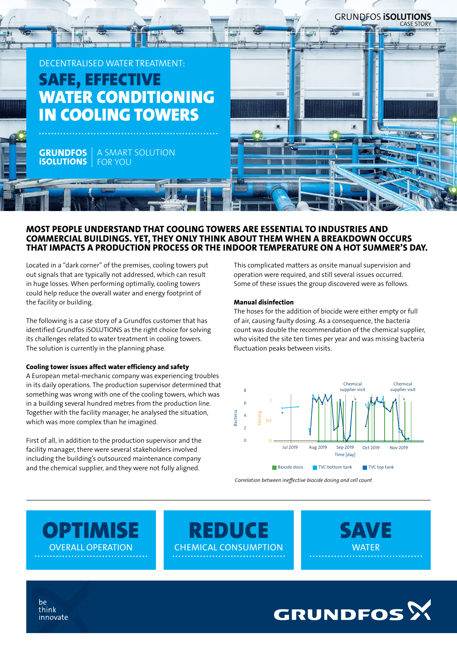

## MOST PEOPLE UNDERSTAND THAT COOLING TOWERS ARE ESSENTIAL TO INDUSTRIES AND COMMERCIAL BUILDINGS. YET, THEY ONLY THINK ABOUT THEM WHEN A BREAKDOWN OCCURS THAT IMPACTS A PRODUCTION PROCESS OR THE INDOOR TEMPERATURE ON A HOT SUMMER'S DAY.

Located in a "dark corner" of the premises, cooling towers put out signals that are typically not addressed, which can result in huge losses. When performing optimally, cooling towers could help reduce the overall water and energy footprint of the facility or building.

The following is a case story of a Grundfos customer that has identified Grundfos iSOLUTIONS as the right choice for solving its challenges related to water treatment in cooling towers. The solution is currently in the planning phase.

## Cooling tower issues affect water efficiency and safety

A European metal-mechanic company was experiencing troubles in its daily operations. The production supervisor determined that something was wrong with one of the cooling towers, which was in a building several hundred metres from the production line. Together with the facility manager, he analysed the situation, which was more complex than he imagined.

First of all, in addition to the production supervisor and the facility manager, there were several stakeholders involved including the building's outsourced maintenance company and the chemical supplier, and they were not fully aligned.

This complicated matters as onsite manual supervision and operation were required, and still several issues occurred. Some of these issues the group discovered were as follows.

#### Manual disinfection

The hoses for the addition of biocide were either empty or full of air, causing faulty dosing. As a consequence, the bacteria count was double the recommendation of the chemical supplier, who visited the site ten times per year and was missing bacteria fluctuation peaks between visits.



*Correlation between ineffective biocide dosing and cell count*

**OPTIMISE** OVERALL OPERATION

**REDUCE** CHEMICAL CONSUMPTION





he think innovate